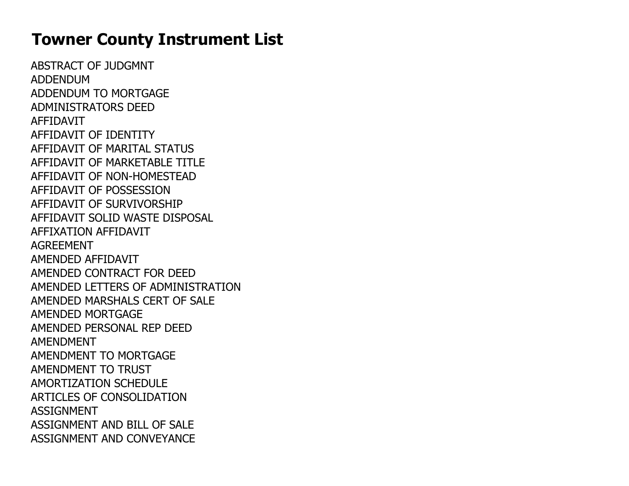## Towner County Instrument List

ABSTRACT OF JUDGMNTADDENDUM ADDENDUM TO MORTGAGEADMINISTRATORS DEEDAFFIDAVIT AFFIDAVIT OF IDENTITY AFFIDAVIT OF MARITAL STATUS AFFIDAVIT OF MARKETABLE TITLEAFFIDAVIT OF NON-HOMESTEADAFFIDAVIT OF POSSESSION AFFIDAVIT OF SURVIVORSHIP AFFIDAVIT SOLID WASTE DISPOSALAFFIXATION AFFIDAVITAGREEMENT AMENDED AFFIDAVIT AMENDED CONTRACT FOR DEED AMENDED LETTERS OF ADMINISTRATIONAMENDED MARSHALS CERT OF SALEAMENDED MORTGAGE AMENDED PERSONAL REP DEEDAMENDMENT AMENDMENT TO MORTGAGEAMENDMENT TO TRUST AMORTIZATION SCHEDULE ARTICLES OF CONSOLIDATIONASSIGNMENT ASSIGNMENT AND BILL OF SALEASSIGNMENT AND CONVEYANCE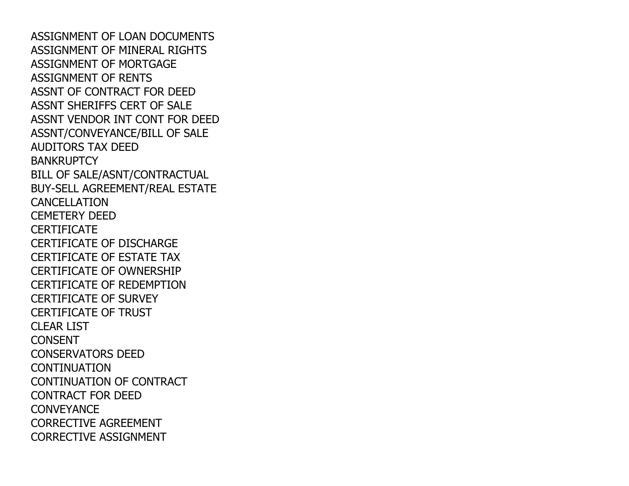ASSIGNMENT OF LOAN DOCUMENTS ASSIGNMENT OF MINERAL RIGHTSASSIGNMENT OF MORTGAGEASSIGNMENT OF RENTS ASSNT OF CONTRACT FOR DEED ASSNT SHERIFFS CERT OF SALE ASSNT VENDOR INT CONT FOR DEEDASSNT/CONVEYANCE/BILL OF SALEAUDITORS TAX DEED**BANKRUPTCY**  BILL OF SALE/ASNT/CONTRACTUAL BUY-SELL AGREEMENT/REAL ESTATECANCELLATION CEMETERY DEED**CERTIFICATE**  CERTIFICATE OF DISCHARGE CERTIFICATE OF ESTATE TAX CERTIFICATE OF OWNERSHIP CERTIFICATE OF REDEMPTIONCERTIFICATE OF SURVEY CERTIFICATE OF TRUSTCLEAR LIST**CONSENT**  CONSERVATORS DEED**CONTINUATION**  CONTINUATION OF CONTRACTCONTRACT FOR DEED**CONVEYANCE**  CORRECTIVE AGREEMENTCORRECTIVE ASSIGNMENT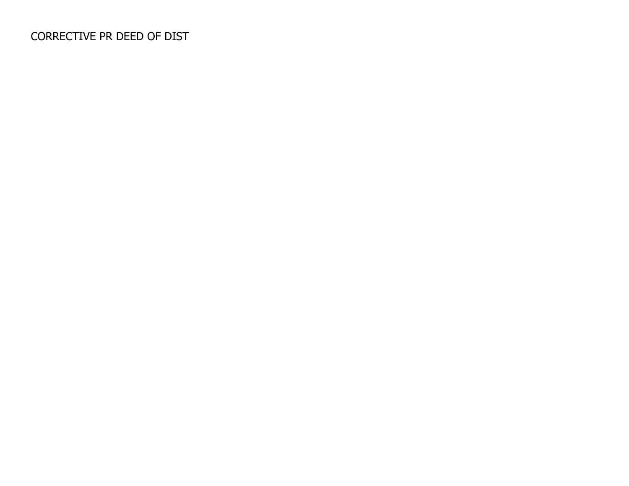## CORRECTIVE PR DEED OF DIST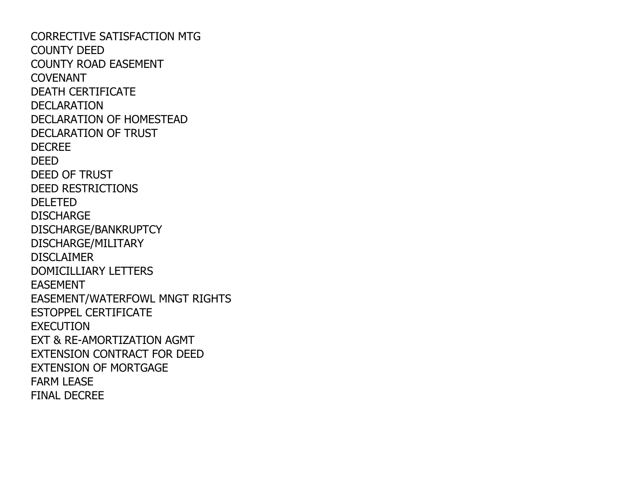CORRECTIVE SATISFACTION MTGCOUNTY DEED COUNTY ROAD EASEMENTCOVENANT DEATH CERTIFICATEDECLARATION DECLARATION OF HOMESTEADDECLARATION OF TRUST DECREEDEED DEED OF TRUST DEED RESTRICTIONSDELETED DISCHARGE DISCHARGE/BANKRUPTCYDISCHARGE/MILITARY**DISCLAIMER**  DOMICILLIARY LETTERSEASEMENT EASEMENT/WATERFOWL MNGT RIGHTSESTOPPEL CERTIFICATEEXECUTION EXT & RE-AMORTIZATION AGMT EXTENSION CONTRACT FOR DEEDEXTENSION OF MORTGAGEFARM LEASEFINAL DECREE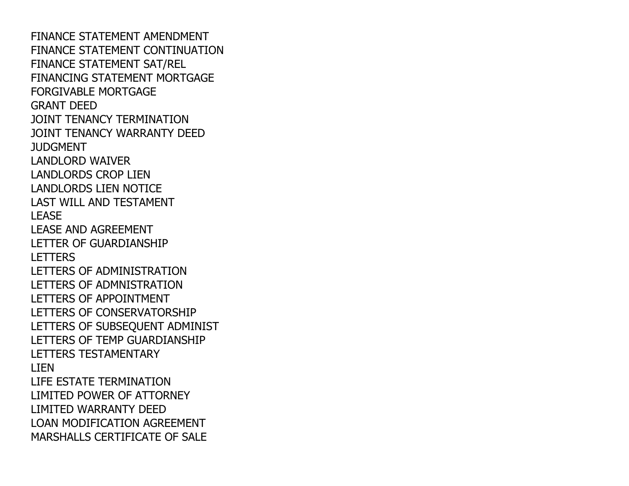FINANCE STATEMENT AMENDMENT FINANCE STATEMENT CONTINUATIONFINANCE STATEMENT SAT/REL FINANCING STATEMENT MORTGAGEFORGIVABLE MORTGAGEGRANT DEED JOINT TENANCY TERMINATION JOINT TENANCY WARRANTY DEEDJUDGMENT LANDLORD WAIVER LANDLORDS CROP LIEN LANDLORDS LIEN NOTICE LAST WILL AND TESTAMENTLEASE LEASE AND AGREEMENT LETTER OF GUARDIANSHIP**LETTERS**  LETTERS OF ADMINISTRATION LETTERS OF ADMNISTRATIONLETTERS OF APPOINTMENT LETTERS OF CONSERVATORSHIP LETTERS OF SUBSEQUENT ADMINISTLETTERS OF TEMP GUARDIANSHIPLETTERS TESTAMENTARYLIEN LIFE ESTATE TERMINATION LIMITED POWER OF ATTORNEYLIMITED WARRANTY DEED LOAN MODIFICATION AGREEMENTMARSHALLS CERTIFICATE OF SALE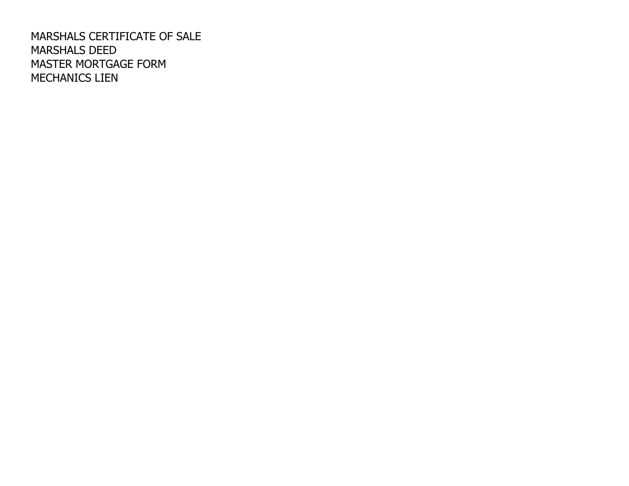MARSHALS CERTIFICATE OF SALEMARSHALS DEED MASTER MORTGAGE FORMMECHANICS LIEN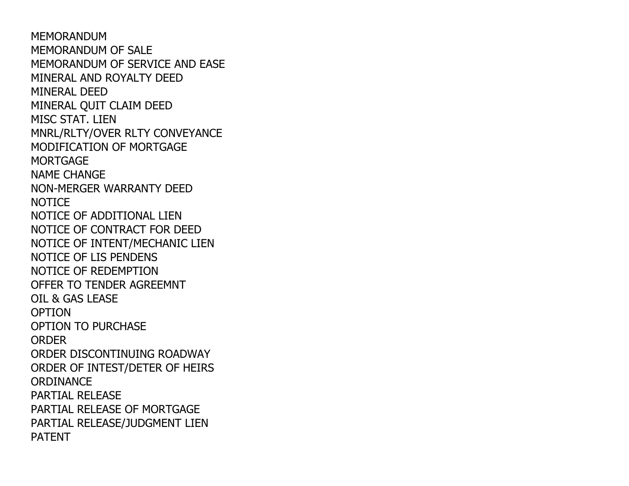MEMORANDUM MEMORANDUM OF SALE MEMORANDUM OF SERVICE AND EASEMINERAL AND ROYALTY DEEDMINERAL DEED MINERAL QUIT CLAIM DEEDMISC STAT. LIEN MNRL/RLTY/OVER RLTY CONVEYANCEMODIFICATION OF MORTGAGE**MORTGAGE**  NAME CHANGE NON-MERGER WARRANTY DEED**NOTICE**  NOTICE OF ADDITIONAL LIEN NOTICE OF CONTRACT FOR DEED NOTICE OF INTENT/MECHANIC LIENNOTICE OF LIS PENDENS NOTICE OF REDEMPTION OFFER TO TENDER AGREEMNTOIL & GAS LEASE**OPTION**  OPTION TO PURCHASE**ORDER**  ORDER DISCONTINUING ROADWAY ORDER OF INTEST/DETER OF HEIRS**ORDINANCE**  PARTIAL RELEASE PARTIAL RELEASE OF MORTGAGE PARTIAL RELEASE/JUDGMENT LIENPATENT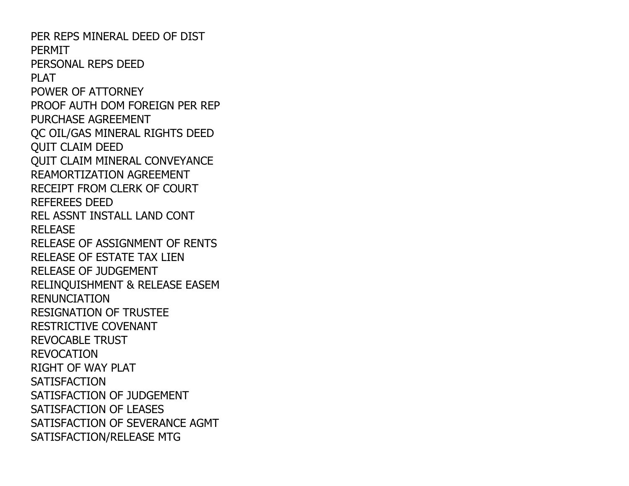PER REPS MINERAL DEED OF DISTPERMIT PERSONAL REPS DEEDPI AT POWER OF ATTORNEY PROOF AUTH DOM FOREIGN PER REPPURCHASE AGREEMENT QC OIL/GAS MINERAL RIGHTS DEEDQUIT CLAIM DEED QUIT CLAIM MINERAL CONVEYANCEREAMORTIZATION AGREEMENT RECEIPT FROM CLERK OF COURTREFEREES DEED REL ASSNT INSTALL LAND CONTRELEASE RELEASE OF ASSIGNMENT OF RENTSRELEASE OF ESTATE TAX LIENRELEASE OF JUDGEMENT RELINQUISHMENT & RELEASE EASEMRENUNCIATION RESIGNATION OF TRUSTEERESTRICTIVE COVENANTREVOCABLE TRUSTREVOCATION RIGHT OF WAY PLAT**SATISFACTION**  SATISFACTION OF JUDGEMENTSATISFACTION OF LEASES SATISFACTION OF SEVERANCE AGMTSATISFACTION/RELEASE MTG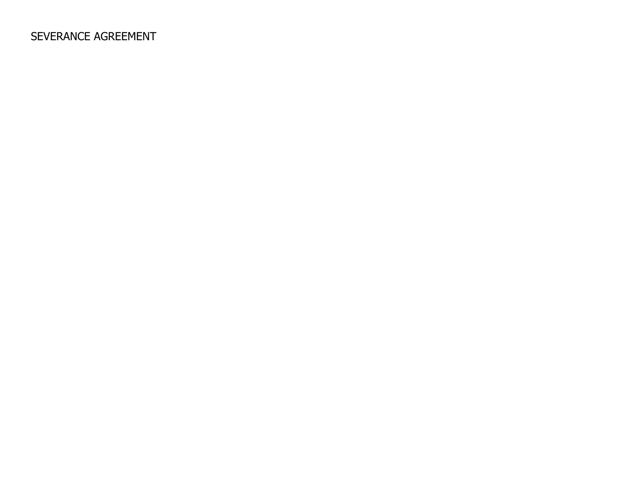## SEVERANCE AGREEMENT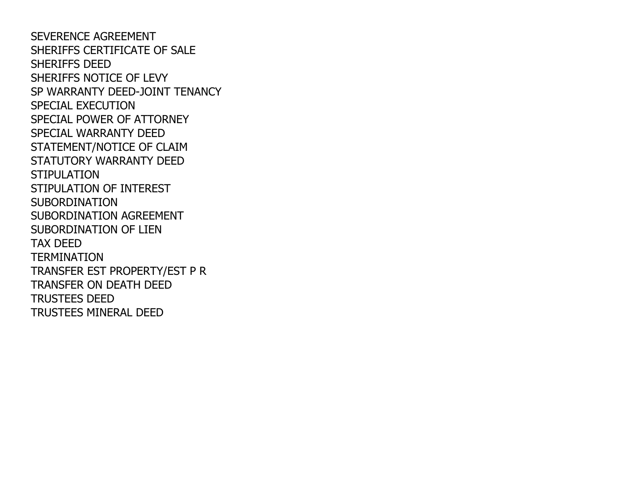SEVERENCE AGREEMENT SHERIFFS CERTIFICATE OF SALESHERIFFS DEED SHERIFFS NOTICE OF LEVY SP WARRANTY DEED-JOINT TENANCYSPECIAL EXECUTION SPECIAL POWER OF ATTORNEYSPECIAL WARRANTY DEED STATEMENT/NOTICE OF CLAIM STATUTORY WARRANTY DEED**STIPULATION**  STIPULATION OF INTERESTSUBORDINATION SUBORDINATION AGREEMENTSUBORDINATION OF LIENTAX DEED TERMINATION TRANSFER EST PROPERTY/EST P RTRANSFER ON DEATH DEEDTRUSTEES DEEDTRUSTEES MINERAL DEED